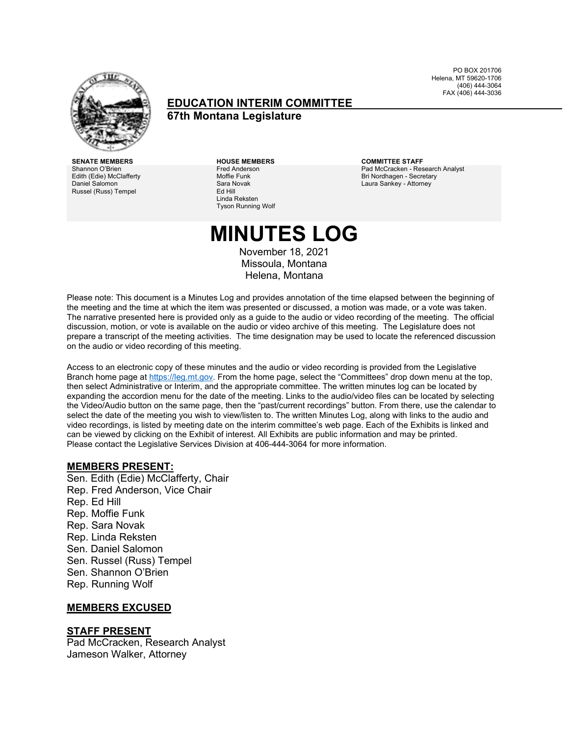

### **EDUCATION INTERIM COMMITTEE 67th Montana Legislature**

PO BOX 201706 Helena, MT 59620-1706 (406) 444-3064 FAX (406) 444-3036

**SENATE MEMBERS HOUSE MEMBERS COMMITTEE STAFF** Shannon O'Brien Edith (Edie) McClafferty Daniel Salomon Russel (Russ) Tempel

Fred Anderson Moffie Funk Sara Novak Ed Hill Linda Reksten Tyson Running Wolf

Pad McCracken - Research Analyst Bri Nordhagen - Secretary Laura Sankey - Attorney

# **MINUTES LOG**

November 18, 2021 Missoula, Montana Helena, Montana

Please note: This document is a Minutes Log and provides annotation of the time elapsed between the beginning of the meeting and the time at which the item was presented or discussed, a motion was made, or a vote was taken. The narrative presented here is provided only as a guide to the audio or video recording of the meeting. The official discussion, motion, or vote is available on the audio or video archive of this meeting. The Legislature does not prepare a transcript of the meeting activities. The time designation may be used to locate the referenced discussion on the audio or video recording of this meeting.

Access to an electronic copy of these minutes and the audio or video recording is provided from the Legislative Branch home page a[t https://leg.mt.gov.](http://legmt.gov/) From the home page, select the "Committees" drop down menu at the top, then select Administrative or Interim, and the appropriate committee. The written minutes log can be located by expanding the accordion menu for the date of the meeting. Links to the audio/video files can be located by selecting the Video/Audio button on the same page, then the "past/current recordings" button. From there, use the calendar to select the date of the meeting you wish to view/listen to. The written Minutes Log, along with links to the audio and video recordings, is listed by meeting date on the interim committee's web page. Each of the Exhibits is linked and can be viewed by clicking on the Exhibit of interest. All Exhibits are public information and may be printed. Please contact the Legislative Services Division at 406-444-3064 for more information.

### **MEMBERS PRESENT:**

Sen. Edith (Edie) McClafferty, Chair Rep. Fred Anderson, Vice Chair Rep. Ed Hill Rep. Moffie Funk Rep. Sara Novak Rep. Linda Reksten Sen. Daniel Salomon Sen. Russel (Russ) Tempel Sen. Shannon O'Brien Rep. Running Wolf

### **MEMBERS EXCUSED**

### **STAFF PRESENT**

Pad McCracken, Research Analyst Jameson Walker, Attorney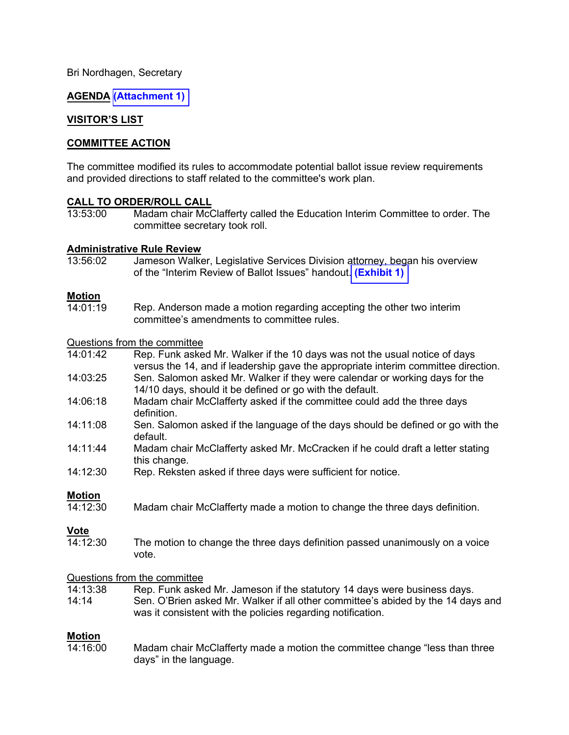Bri Nordhagen, Secretary

**AGENDA [\(Attachment 1\)](https://leg.mt.gov/content/Committees/Interim/2021-2022/Education/Meetings/Nov-2021/Nov-2021-DRAFT-agenda.pdf)** 

## **VISITOR'S LIST**

## **COMMITTEE ACTION**

The committee modified its rules to accommodate potential ballot issue review requirements and provided directions to staff related to the committee's work plan.

## **CALL TO ORDER/ROLL CALL**

Madam chair McClafferty called the Education Interim Committee to order. The committee secretary took roll.

### **Administrative Rule Review**

13:56:02 Jameson Walker, Legislative Services Division attorney, began his overview of the "Interim Review of Ballot Issues" handout. **[\(Exhibit 1\)](https://leg.mt.gov/content/Committees/Interim/2021-2022/Education/Meetings/Nov-2021/Ex1.pdf)** 

### **Motion**

 $14:01:19$ Rep. Anderson made a motion regarding accepting the other two interim committee's amendments to committee rules.

### Questions from the committee

| 14:01:42 | Rep. Funk asked Mr. Walker if the 10 days was not the usual notice of days        |
|----------|-----------------------------------------------------------------------------------|
|          | versus the 14, and if leadership gave the appropriate interim committee direction |

14:03:25 Sen. Salomon asked Mr. Walker if they were calendar or working days for the

14/10 days, should it be defined or go with the default.

- 14:06:18 Madam chair McClafferty asked if the committee could add the three days definition.
- 14:11:08 Sen. Salomon asked if the language of the days should be defined or go with the default.
- 14:11:44 Madam chair McClafferty asked Mr. McCracken if he could draft a letter stating this change.
- 14:12:30 Rep. Reksten asked if three days were sufficient for notice.

**Motion**<br>14:12:30 Madam chair McClafferty made a motion to change the three days definition.

**<u>Vote</u><br>14·12·30** The motion to change the three days definition passed unanimously on a voice vote.

## Questions from the committee<br>14:13:38 Rep. Funk aske

- Rep. Funk asked Mr. Jameson if the statutory 14 days were business days.
- 14:14 Sen. O'Brien asked Mr. Walker if all other committee's abided by the 14 days and was it consistent with the policies regarding notification.

**Motion** Madam chair McClafferty made a motion the committee change "less than three days" in the language.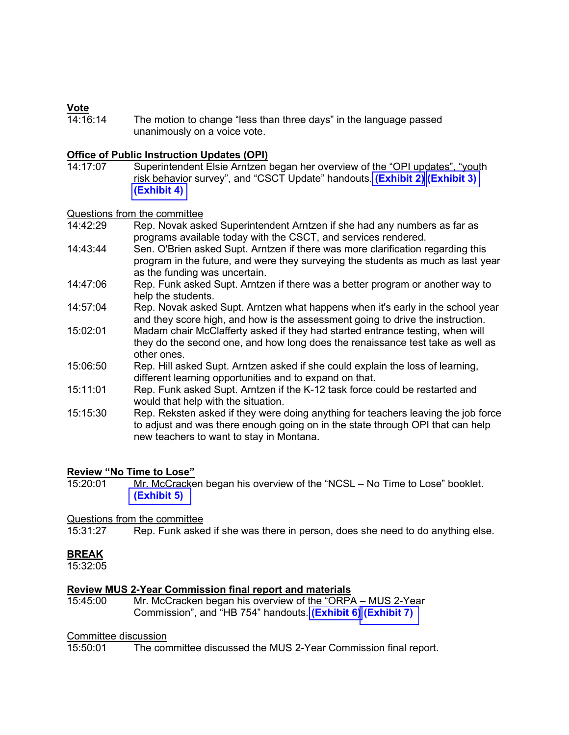<mark>Vote</mark><br>14<sup>.</sup>16<sup>.</sup>14 The motion to change "less than three days" in the language passed unanimously on a voice vote.

## **Office of Public Instruction Updates (OPI)**

Superintendent Elsie Arntzen began her overview of the "OPI updates", "youth risk behavior survey", and "CSCT Update" handouts. **[\(Exhibit](https://leg.mt.gov/content/Committees/Interim/2021-2022/Education/Meetings/Nov-2021/Ex2.pdf) 2) [\(Exhibit 3\)](https://leg.mt.gov/content/Committees/Interim/2021-2022/Education/Meetings/Nov-2021/Ex3.pdf) [\(Exhibit 4\)](https://leg.mt.gov/content/Committees/Interim/2021-2022/Education/Meetings/Nov-2021/Ex4.pdf)** 

# Questions from the committee<br>14:42:29 Rep. Novak ask

- Rep. Novak asked Superintendent Arntzen if she had any numbers as far as programs available today with the CSCT, and services rendered.
- 14:43:44 Sen. O'Brien asked Supt. Arntzen if there was more clarification regarding this program in the future, and were they surveying the students as much as last year as the funding was uncertain.
- 14:47:06 Rep. Funk asked Supt. Arntzen if there was a better program or another way to help the students.
- 14:57:04 Rep. Novak asked Supt. Arntzen what happens when it's early in the school year and they score high, and how is the assessment going to drive the instruction.
- 15:02:01 Madam chair McClafferty asked if they had started entrance testing, when will they do the second one, and how long does the renaissance test take as well as other ones.
- 15:06:50 Rep. Hill asked Supt. Arntzen asked if she could explain the loss of learning, different learning opportunities and to expand on that.
- 15:11:01 Rep. Funk asked Supt. Arntzen if the K-12 task force could be restarted and would that help with the situation.
- 15:15:30 Rep. Reksten asked if they were doing anything for teachers leaving the job force to adjust and was there enough going on in the state through OPI that can help new teachers to want to stay in Montana.

# **Review "No Time to Lose"**

Mr. McCracken began his overview of the "NCSL – No Time to Lose" booklet. **[\(Exhibit 5\)](https://leg.mt.gov/content/Committees/Interim/2021-2022/Education/Meetings/Nov-2021/Ex5.pdf)** 

# Questions from the committee<br>15:31:27 Rep. Funk aske

Rep. Funk asked if she was there in person, does she need to do anything else.

## **BREAK**

15:32:05

## **Review MUS 2-Year Commission final report and materials**

15:45:00 Mr. McCracken began his overview of the "ORPA – MUS 2-Year Commission", and "HB 754" handouts. **[\(Exhibit 6\)](https://leg.mt.gov/content/Committees/Interim/2021-2022/Education/Meetings/Nov-2021/Ex6.pdf) [\(Exhibit 7\)](https://leg.mt.gov/content/Committees/Interim/2021-2022/Education/Meetings/Nov-2021/Ex7.pdf)** 

## Committee discussion

15:50:01 The committee discussed the MUS 2-Year Commission final report.